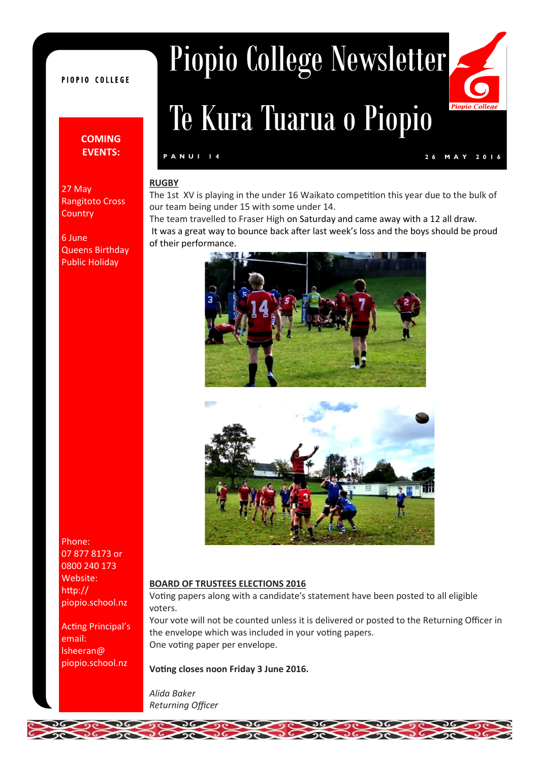# PIOPIO COLLEGE

# **COMING EVENTS:**

Rangitoto Cross

Queens Birthday Public Holiday

27 May

**Country** 

6 June

Piopio College Newsletter

# Te Kura Tuarua o Piopio

# **P A N U I 1 4 2 6 M A Y 2 0 1 6**

Piopie

#### **RUGBY**

The 1st XV is playing in the under 16 Waikato competition this year due to the bulk of our team being under 15 with some under 14.

The team travelled to Fraser High on Saturday and came away with a 12 all draw. It was a great way to bounce back after last week's loss and the boys should be proud of their performance.





#### **BOARD OF TRUSTEES ELECTIONS 2016**

Voting papers along with a candidate's statement have been posted to all eligible voters.

Your vote will not be counted unless it is delivered or posted to the Returning Officer in the envelope which was included in your voting papers. One voting paper per envelope.

#### **Voting closes noon Friday 3 June 2016.**

*Alida Baker Returning Officer*



Acting Principal's email: lsheeran@ piopio.school.nz